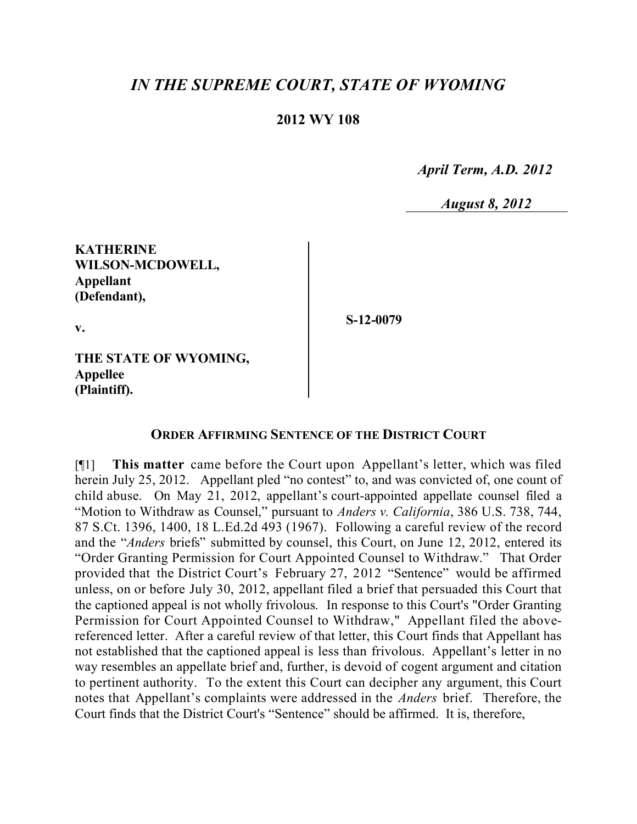## *IN THE SUPREME COURT, STATE OF WYOMING*

## **2012 WY 108**

 *April Term, A.D. 2012*

*August 8, 2012*

**KATHERINE WILSON-MCDOWELL, Appellant (Defendant),**

**v.**

**S-12-0079**

**THE STATE OF WYOMING, Appellee (Plaintiff).**

## **ORDER AFFIRMING SENTENCE OF THE DISTRICT COURT**

[¶1] **This matter** came before the Court upon Appellant's letter, which was filed herein July 25, 2012. Appellant pled "no contest" to, and was convicted of, one count of child abuse. On May 21, 2012, appellant's court-appointed appellate counsel filed a "Motion to Withdraw as Counsel," pursuant to *Anders v. California*, 386 U.S. 738, 744, 87 S.Ct. 1396, 1400, 18 L.Ed.2d 493 (1967). Following a careful review of the record and the "*Anders* briefs" submitted by counsel, this Court, on June 12, 2012, entered its "Order Granting Permission for Court Appointed Counsel to Withdraw." That Order provided that the District Court's February 27, 2012 "Sentence" would be affirmed unless, on or before July 30, 2012, appellant filed a brief that persuaded this Court that the captioned appeal is not wholly frivolous. In response to this Court's "Order Granting Permission for Court Appointed Counsel to Withdraw," Appellant filed the abovereferenced letter. After a careful review of that letter, this Court finds that Appellant has not established that the captioned appeal is less than frivolous. Appellant's letter in no way resembles an appellate brief and, further, is devoid of cogent argument and citation to pertinent authority. To the extent this Court can decipher any argument, this Court notes that Appellant's complaints were addressed in the *Anders* brief. Therefore, the Court finds that the District Court's "Sentence" should be affirmed. It is, therefore,